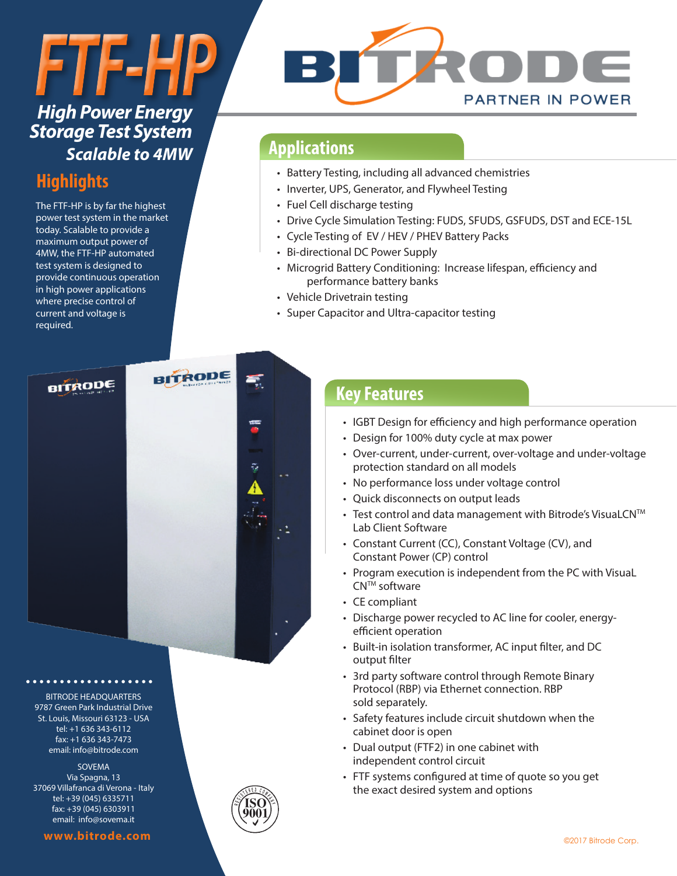# *FTF-HP High Power Energy*

## *Storage Test System Scalable to 4MW*

## **Highlights**

The FTF-HP is by far the highest power test system in the market today. Scalable to provide a maximum output power of 4MW, the FTF-HP automated test system is designed to provide continuous operation in high power applications where precise control of current and voltage is required.



## **Applications**

- Battery Testing, including all advanced chemistries
- Inverter, UPS, Generator, and Flywheel Testing
- Fuel Cell discharge testing
- Drive Cycle Simulation Testing: FUDS, SFUDS, GSFUDS, DST and ECE-15L
- Cycle Testing of EV / HEV / PHEV Battery Packs
- Bi-directional DC Power Supply
- Microgrid Battery Conditioning: Increase lifespan, efficiency and performance battery banks
- Vehicle Drivetrain testing
- Super Capacitor and Ultra-capacitor testing



BITRODE HEADQUARTERS 9787 Green Park Industrial Drive St. Louis, Missouri 63123 - USA tel: +1 636 343-6112 fax: +1 636 343-7473 email: info@bitrode.com

SOVEMA Via Spagna, 13 37069 Villafranca di Verona - Italy tel: +39 (045) 6335711 fax: +39 (045) 6303911 email: info@sovema.it



### **Key Features**

- IGBT Design for efficiency and high performance operation
- Design for 100% duty cycle at max power
- Over-current, under-current, over-voltage and under-voltage protection standard on all models
- No performance loss under voltage control
- Quick disconnects on output leads
- Test control and data management with Bitrode's VisuaLCN™ Lab Client Software
- Constant Current (CC), Constant Voltage (CV), and Constant Power (CP) control
- Program execution is independent from the PC with VisuaL CN<sup>™</sup> software
- CE compliant
- Discharge power recycled to AC line for cooler, energyefficient operation
- Built-in isolation transformer, AC input filter, and DC output filter
- 3rd party software control through Remote Binary Protocol (RBP) via Ethernet connection. RBP sold separately.
- Safety features include circuit shutdown when the cabinet door is open
- Dual output (FTF2) in one cabinet with independent control circuit
- FTF systems configured at time of quote so you get the exact desired system and options